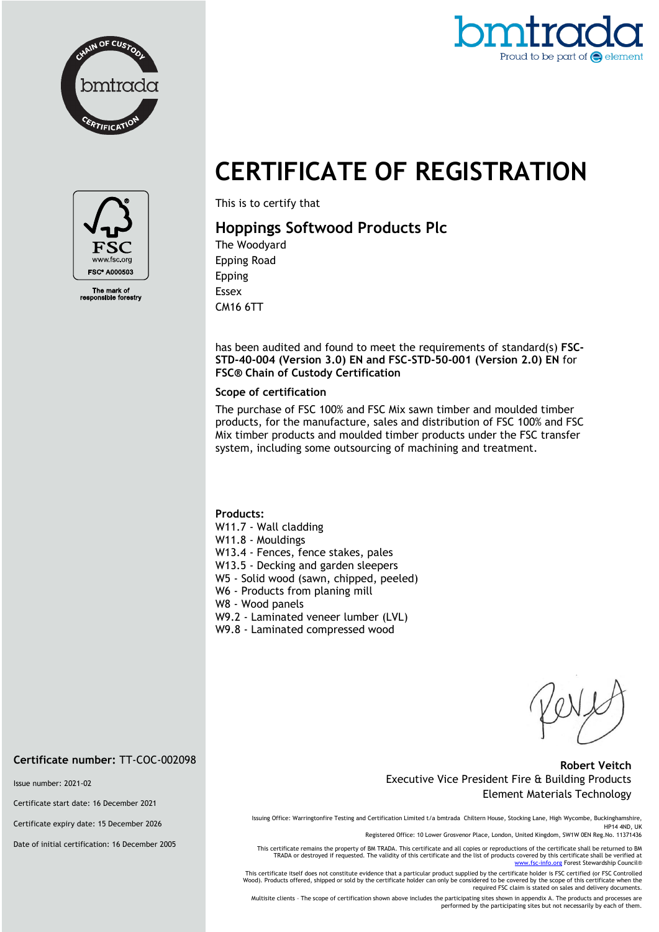



# **CERTIFICATE OF REGISTRATION**



The mark of<br>ponsible fore

This is to certify that

## **Hoppings Softwood Products Plc**

The Woodyard Epping Road Epping Essex CM16 6TT

has been audited and found to meet the requirements of standard(s) **FSC-STD-40-004 (Version 3.0) EN and FSC-STD-50-001 (Version 2.0) EN** for **FSC® Chain of Custody Certification**

#### **Scope of certification**

The purchase of FSC 100% and FSC Mix sawn timber and moulded timber products, for the manufacture, sales and distribution of FSC 100% and FSC Mix timber products and moulded timber products under the FSC transfer system, including some outsourcing of machining and treatment.

#### **Products:**

W11.7 - Wall cladding W11.8 - Mouldings W13.4 - Fences, fence stakes, pales W13.5 - Decking and garden sleepers W5 - Solid wood (sawn, chipped, peeled) W6 - Products from planing mill W8 - Wood panels W9.2 - Laminated veneer lumber (LVL) W9.8 - Laminated compressed wood

#### **Robert Veitch** Executive Vice President Fire & Building Products Element Materials Technology

Issuing Office: Warringtonfire Testing and Certification Limited t/a bmtrada Chiltern House, Stocking Lane, High Wycombe, Buckinghamshire, HP14 4ND, UK

Registered Office: 10 Lower Grosvenor Place, London, United Kingdom, SW1W 0EN Reg.No. 11371436

This certificate remains the property of BM TRADA. This certificate and all copies or reproductions of the certificate shall be returned to BM TRADA or destroyed if requested. The validity of this certificate and the list of products covered by this certificate shall be verified at [www.fsc-info.org](http://www.fsc-info.org/) Forest Stewardship Council®

This certificate itself does not constitute evidence that a particular product supplied by the certificate holder is FSC certified (or FSC Controlled Wood). Products offered, shipped or sold by the certificate holder can only be considered to be covered by the scope of this certificate when the required FSC claim is stated on sales and delivery documents.

Multisite clients – The scope of certification shown above includes the participating sites shown in appendix A. The products and processes are performed by the participating sites but not necessarily by each of them.

**Certificate number:** TT-COC-002098

Issue number: 2021-02

Certificate start date: 16 December 2021

Certificate expiry date: 15 December 2026

Date of initial certification: 16 December 2005